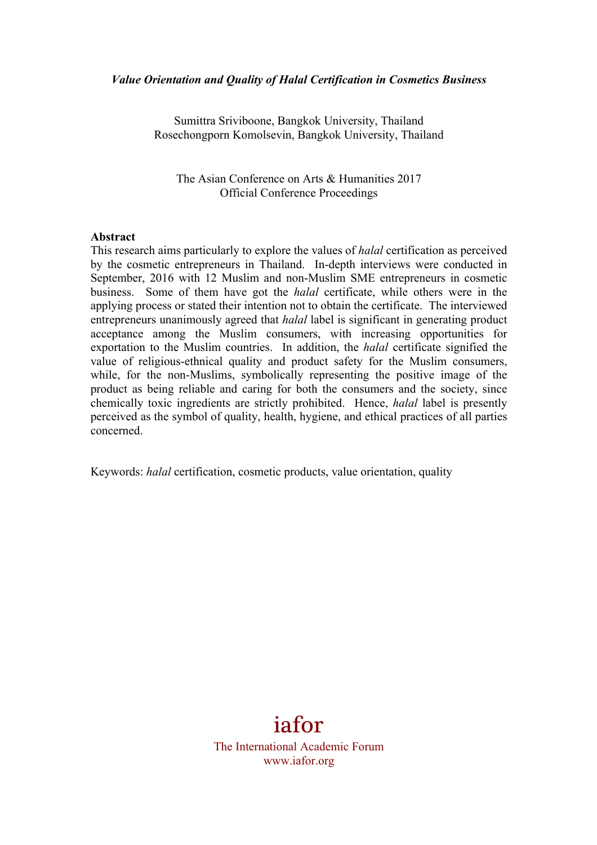### *Value Orientation and Quality of Halal Certification in Cosmetics Business*

Sumittra Sriviboone, Bangkok University, Thailand Rosechongporn Komolsevin, Bangkok University, Thailand

The Asian Conference on Arts & Humanities 2017 Official Conference Proceedings

#### **Abstract**

This research aims particularly to explore the values of *halal* certification as perceived by the cosmetic entrepreneurs in Thailand. In-depth interviews were conducted in September, 2016 with 12 Muslim and non-Muslim SME entrepreneurs in cosmetic business. Some of them have got the *halal* certificate, while others were in the applying process or stated their intention not to obtain the certificate. The interviewed entrepreneurs unanimously agreed that *halal* label is significant in generating product acceptance among the Muslim consumers, with increasing opportunities for exportation to the Muslim countries. In addition, the *halal* certificate signified the value of religious-ethnical quality and product safety for the Muslim consumers, while, for the non-Muslims, symbolically representing the positive image of the product as being reliable and caring for both the consumers and the society, since chemically toxic ingredients are strictly prohibited. Hence, *halal* label is presently perceived as the symbol of quality, health, hygiene, and ethical practices of all parties concerned.

Keywords: *halal* certification, cosmetic products, value orientation, quality

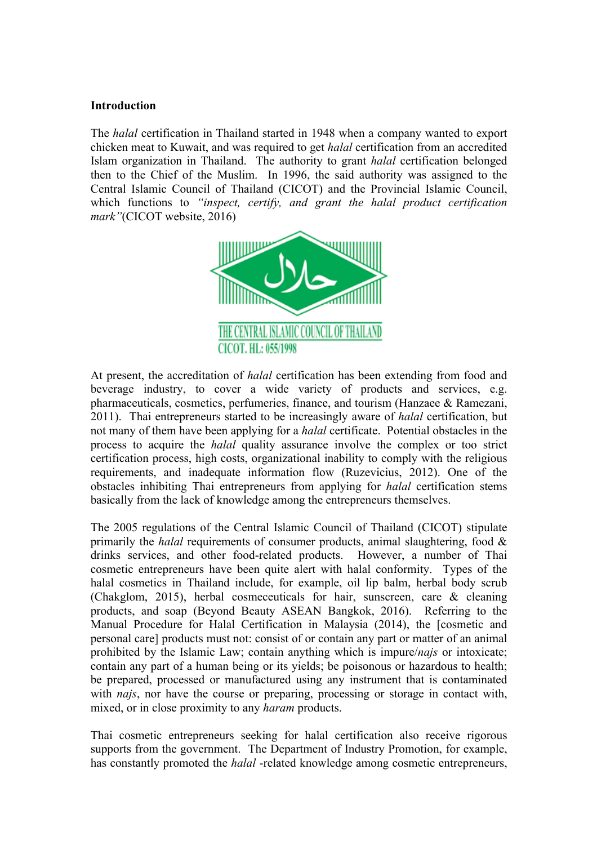### **Introduction**

The *halal* certification in Thailand started in 1948 when a company wanted to export chicken meat to Kuwait, and was required to get *halal* certification from an accredited Islam organization in Thailand. The authority to grant *halal* certification belonged then to the Chief of the Muslim. In 1996, the said authority was assigned to the Central Islamic Council of Thailand (CICOT) and the Provincial Islamic Council, which functions to *"inspect, certify, and grant the halal product certification mark"*(CICOT website, 2016)



At present, the accreditation of *halal* certification has been extending from food and beverage industry, to cover a wide variety of products and services, e.g. pharmaceuticals, cosmetics, perfumeries, finance, and tourism (Hanzaee & Ramezani, 2011). Thai entrepreneurs started to be increasingly aware of *halal* certification, but not many of them have been applying for a *halal* certificate. Potential obstacles in the process to acquire the *halal* quality assurance involve the complex or too strict certification process, high costs, organizational inability to comply with the religious requirements, and inadequate information flow (Ruzevicius, 2012). One of the obstacles inhibiting Thai entrepreneurs from applying for *halal* certification stems basically from the lack of knowledge among the entrepreneurs themselves.

The 2005 regulations of the Central Islamic Council of Thailand (CICOT) stipulate primarily the *halal* requirements of consumer products, animal slaughtering, food & drinks services, and other food-related products. However, a number of Thai cosmetic entrepreneurs have been quite alert with halal conformity. Types of the halal cosmetics in Thailand include, for example, oil lip balm, herbal body scrub (Chakglom, 2015), herbal cosmeceuticals for hair, sunscreen, care & cleaning products, and soap (Beyond Beauty ASEAN Bangkok, 2016). Referring to the Manual Procedure for Halal Certification in Malaysia (2014), the [cosmetic and personal care] products must not: consist of or contain any part or matter of an animal prohibited by the Islamic Law; contain anything which is impure/*najs* or intoxicate; contain any part of a human being or its yields; be poisonous or hazardous to health; be prepared, processed or manufactured using any instrument that is contaminated with *najs*, nor have the course or preparing, processing or storage in contact with, mixed, or in close proximity to any *haram* products.

Thai cosmetic entrepreneurs seeking for halal certification also receive rigorous supports from the government. The Department of Industry Promotion, for example, has constantly promoted the *halal* -related knowledge among cosmetic entrepreneurs,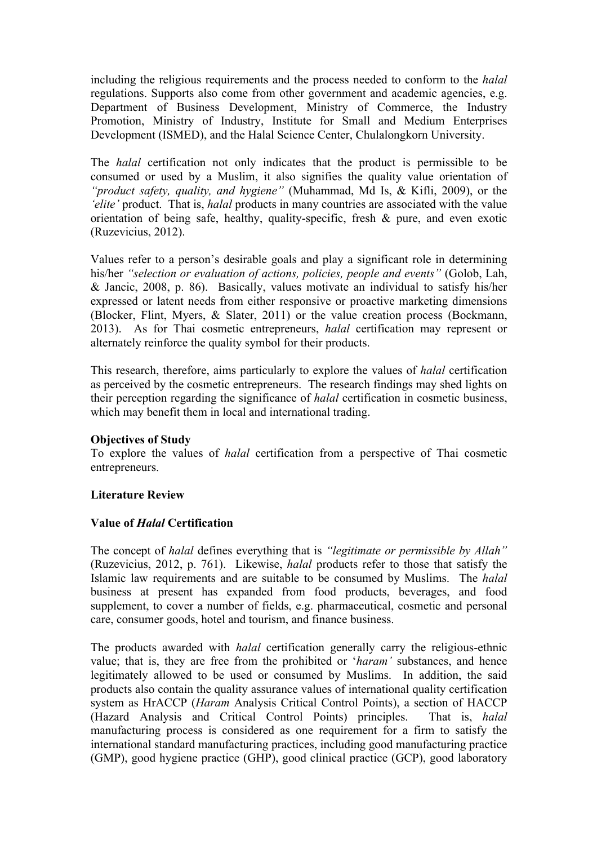including the religious requirements and the process needed to conform to the *halal* regulations. Supports also come from other government and academic agencies, e.g. Department of Business Development, Ministry of Commerce, the Industry Promotion, Ministry of Industry, Institute for Small and Medium Enterprises Development (ISMED), and the Halal Science Center, Chulalongkorn University.

The *halal* certification not only indicates that the product is permissible to be consumed or used by a Muslim, it also signifies the quality value orientation of *"product safety, quality, and hygiene"* (Muhammad, Md Is, & Kifli, 2009), or the *'elite'* product. That is, *halal* products in many countries are associated with the value orientation of being safe, healthy, quality-specific, fresh & pure, and even exotic (Ruzevicius, 2012).

Values refer to a person's desirable goals and play a significant role in determining his/her *"selection or evaluation of actions, policies, people and events"* (Golob, Lah, & Jancic, 2008, p. 86). Basically, values motivate an individual to satisfy his/her expressed or latent needs from either responsive or proactive marketing dimensions (Blocker, Flint, Myers, & Slater, 2011) or the value creation process (Bockmann, 2013). As for Thai cosmetic entrepreneurs, *halal* certification may represent or alternately reinforce the quality symbol for their products.

This research, therefore, aims particularly to explore the values of *halal* certification as perceived by the cosmetic entrepreneurs. The research findings may shed lights on their perception regarding the significance of *halal* certification in cosmetic business, which may benefit them in local and international trading.

### **Objectives of Study**

To explore the values of *halal* certification from a perspective of Thai cosmetic entrepreneurs.

# **Literature Review**

# **Value of** *Halal* **Certification**

The concept of *halal* defines everything that is *"legitimate or permissible by Allah"* (Ruzevicius, 2012, p. 761). Likewise, *halal* products refer to those that satisfy the Islamic law requirements and are suitable to be consumed by Muslims. The *halal* business at present has expanded from food products, beverages, and food supplement, to cover a number of fields, e.g. pharmaceutical, cosmetic and personal care, consumer goods, hotel and tourism, and finance business.

The products awarded with *halal* certification generally carry the religious-ethnic value; that is, they are free from the prohibited or '*haram'* substances, and hence legitimately allowed to be used or consumed by Muslims. In addition, the said products also contain the quality assurance values of international quality certification system as HrACCP (*Haram* Analysis Critical Control Points), a section of HACCP (Hazard Analysis and Critical Control Points) principles. That is, *halal* manufacturing process is considered as one requirement for a firm to satisfy the international standard manufacturing practices, including good manufacturing practice (GMP), good hygiene practice (GHP), good clinical practice (GCP), good laboratory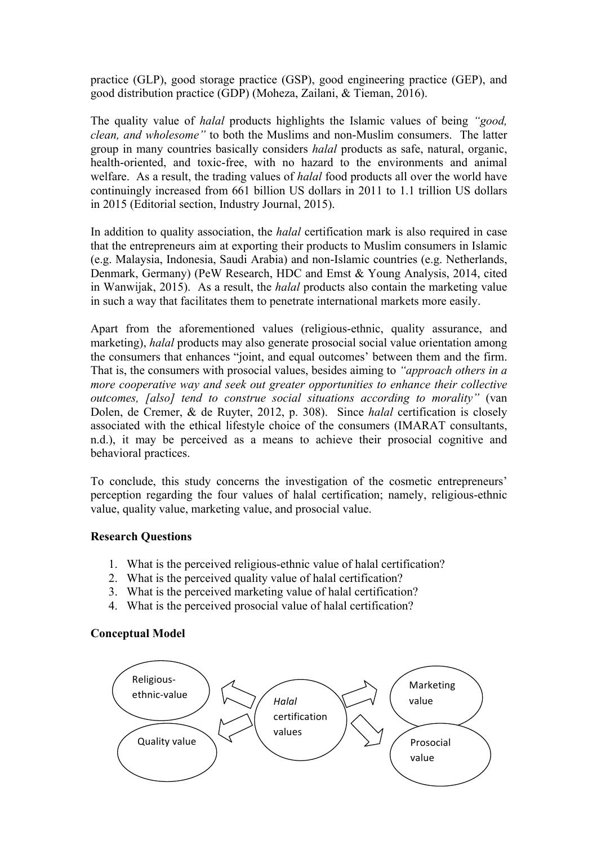practice (GLP), good storage practice (GSP), good engineering practice (GEP), and good distribution practice (GDP) (Moheza, Zailani, & Tieman, 2016).

The quality value of *halal* products highlights the Islamic values of being *"good, clean, and wholesome"* to both the Muslims and non-Muslim consumers. The latter group in many countries basically considers *halal* products as safe, natural, organic, health-oriented, and toxic-free, with no hazard to the environments and animal welfare. As a result, the trading values of *halal* food products all over the world have continuingly increased from 661 billion US dollars in 2011 to 1.1 trillion US dollars in 2015 (Editorial section, Industry Journal, 2015).

In addition to quality association, the *halal* certification mark is also required in case that the entrepreneurs aim at exporting their products to Muslim consumers in Islamic (e.g. Malaysia, Indonesia, Saudi Arabia) and non-Islamic countries (e.g. Netherlands, Denmark, Germany) (PeW Research, HDC and Emst & Young Analysis, 2014, cited in Wanwijak, 2015). As a result, the *halal* products also contain the marketing value in such a way that facilitates them to penetrate international markets more easily.

Apart from the aforementioned values (religious-ethnic, quality assurance, and marketing), *halal* products may also generate prosocial social value orientation among the consumers that enhances "joint, and equal outcomes' between them and the firm. That is, the consumers with prosocial values, besides aiming to *"approach others in a more cooperative way and seek out greater opportunities to enhance their collective outcomes, [also] tend to construe social situations according to morality"* (van Dolen, de Cremer, & de Ruyter, 2012, p. 308). Since *halal* certification is closely associated with the ethical lifestyle choice of the consumers (IMARAT consultants, n.d.), it may be perceived as a means to achieve their prosocial cognitive and behavioral practices.

To conclude, this study concerns the investigation of the cosmetic entrepreneurs' perception regarding the four values of halal certification; namely, religious-ethnic value, quality value, marketing value, and prosocial value.

### **Research Questions**

- 1. What is the perceived religious-ethnic value of halal certification?
- 2. What is the perceived quality value of halal certification?
- 3. What is the perceived marketing value of halal certification?
- 4. What is the perceived prosocial value of halal certification?

### **Conceptual Model**

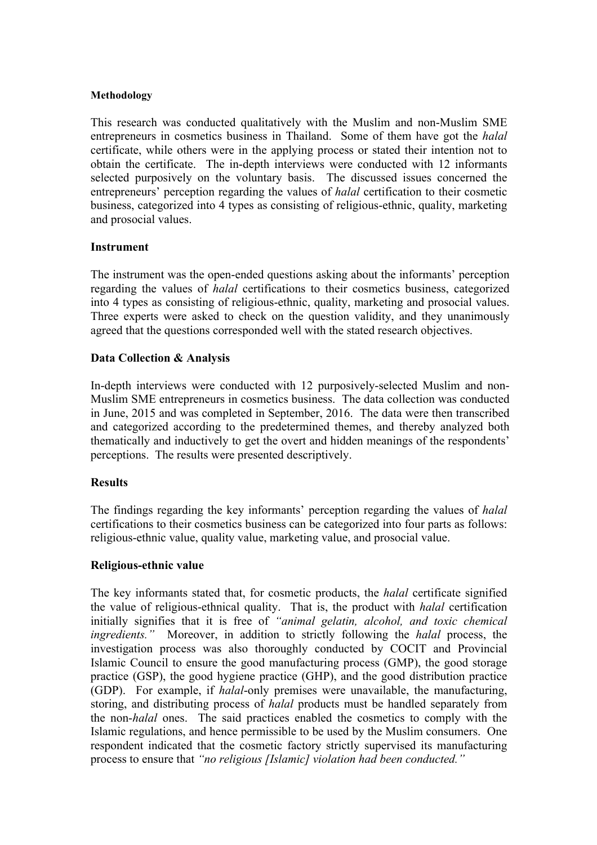#### **Methodology**

This research was conducted qualitatively with the Muslim and non-Muslim SME entrepreneurs in cosmetics business in Thailand. Some of them have got the *halal* certificate, while others were in the applying process or stated their intention not to obtain the certificate. The in-depth interviews were conducted with 12 informants selected purposively on the voluntary basis. The discussed issues concerned the entrepreneurs' perception regarding the values of *halal* certification to their cosmetic business, categorized into 4 types as consisting of religious-ethnic, quality, marketing and prosocial values.

### **Instrument**

The instrument was the open-ended questions asking about the informants' perception regarding the values of *halal* certifications to their cosmetics business, categorized into 4 types as consisting of religious-ethnic, quality, marketing and prosocial values. Three experts were asked to check on the question validity, and they unanimously agreed that the questions corresponded well with the stated research objectives.

## **Data Collection & Analysis**

In-depth interviews were conducted with 12 purposively-selected Muslim and non-Muslim SME entrepreneurs in cosmetics business. The data collection was conducted in June, 2015 and was completed in September, 2016. The data were then transcribed and categorized according to the predetermined themes, and thereby analyzed both thematically and inductively to get the overt and hidden meanings of the respondents' perceptions. The results were presented descriptively.

### **Results**

The findings regarding the key informants' perception regarding the values of *halal* certifications to their cosmetics business can be categorized into four parts as follows: religious-ethnic value, quality value, marketing value, and prosocial value.

### **Religious-ethnic value**

The key informants stated that, for cosmetic products, the *halal* certificate signified the value of religious-ethnical quality. That is, the product with *halal* certification initially signifies that it is free of *"animal gelatin, alcohol, and toxic chemical ingredients."* Moreover, in addition to strictly following the *halal* process, the investigation process was also thoroughly conducted by COCIT and Provincial Islamic Council to ensure the good manufacturing process (GMP), the good storage practice (GSP), the good hygiene practice (GHP), and the good distribution practice (GDP). For example, if *halal*-only premises were unavailable, the manufacturing, storing, and distributing process of *halal* products must be handled separately from the non-*halal* ones. The said practices enabled the cosmetics to comply with the Islamic regulations, and hence permissible to be used by the Muslim consumers. One respondent indicated that the cosmetic factory strictly supervised its manufacturing process to ensure that *"no religious [Islamic] violation had been conducted."*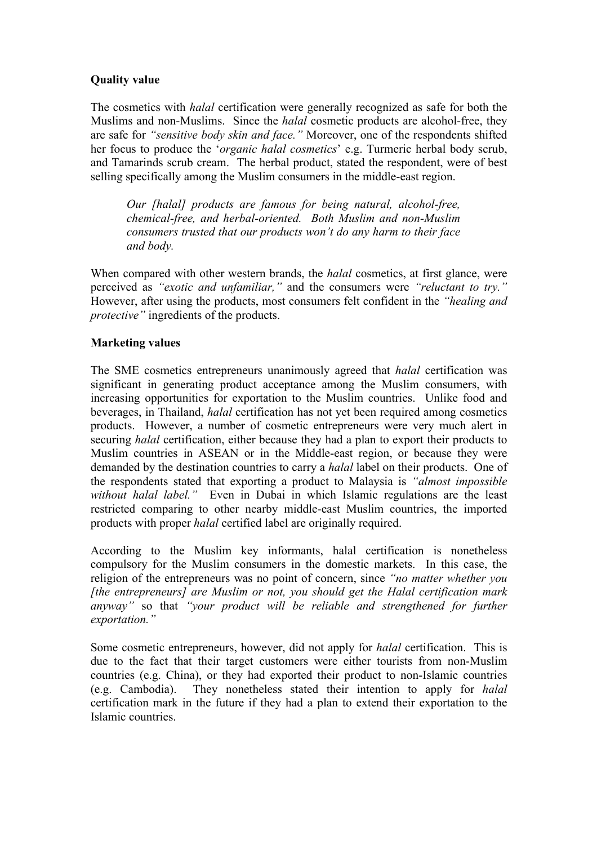# **Quality value**

The cosmetics with *halal* certification were generally recognized as safe for both the Muslims and non-Muslims. Since the *halal* cosmetic products are alcohol-free, they are safe for *"sensitive body skin and face."* Moreover, one of the respondents shifted her focus to produce the '*organic halal cosmetics*' e.g. Turmeric herbal body scrub, and Tamarinds scrub cream. The herbal product, stated the respondent, were of best selling specifically among the Muslim consumers in the middle-east region.

*Our [halal] products are famous for being natural, alcohol-free, chemical-free, and herbal-oriented. Both Muslim and non-Muslim consumers trusted that our products won't do any harm to their face and body.*

When compared with other western brands, the *halal* cosmetics, at first glance, were perceived as *"exotic and unfamiliar,"* and the consumers were *"reluctant to try."* However, after using the products, most consumers felt confident in the *"healing and protective"* ingredients of the products.

## **Marketing values**

The SME cosmetics entrepreneurs unanimously agreed that *halal* certification was significant in generating product acceptance among the Muslim consumers, with increasing opportunities for exportation to the Muslim countries. Unlike food and beverages, in Thailand, *halal* certification has not yet been required among cosmetics products. However, a number of cosmetic entrepreneurs were very much alert in securing *halal* certification, either because they had a plan to export their products to Muslim countries in ASEAN or in the Middle-east region, or because they were demanded by the destination countries to carry a *halal* label on their products. One of the respondents stated that exporting a product to Malaysia is *"almost impossible without halal label."* Even in Dubai in which Islamic regulations are the least restricted comparing to other nearby middle-east Muslim countries, the imported products with proper *halal* certified label are originally required.

According to the Muslim key informants, halal certification is nonetheless compulsory for the Muslim consumers in the domestic markets. In this case, the religion of the entrepreneurs was no point of concern, since *"no matter whether you [the entrepreneurs] are Muslim or not, you should get the Halal certification mark anyway"* so that *"your product will be reliable and strengthened for further exportation."*

Some cosmetic entrepreneurs, however, did not apply for *halal* certification. This is due to the fact that their target customers were either tourists from non-Muslim countries (e.g. China), or they had exported their product to non-Islamic countries (e.g. Cambodia). They nonetheless stated their intention to apply for *halal* certification mark in the future if they had a plan to extend their exportation to the Islamic countries.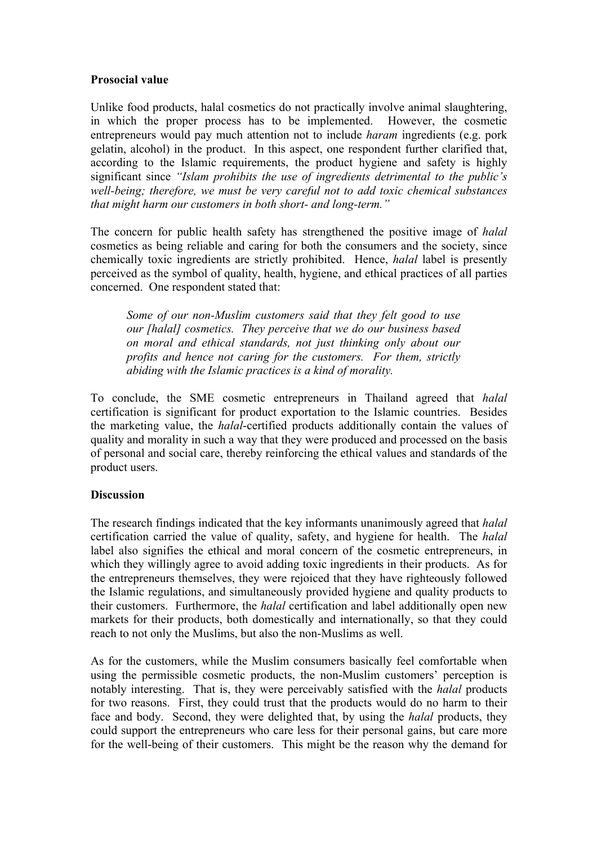### **Prosocial value**

Unlike food products, halal cosmetics do not practically involve animal slaughtering, in which the proper process has to be implemented. However, the cosmetic entrepreneurs would pay much attention not to include *haram* ingredients (e.g. pork gelatin, alcohol) in the product. In this aspect, one respondent further clarified that, according to the Islamic requirements, the product hygiene and safety is highly significant since *"Islam prohibits the use of ingredients detrimental to the public's well-being; therefore, we must be very careful not to add toxic chemical substances that might harm our customers in both short- and long-term."*

The concern for public health safety has strengthened the positive image of *halal* cosmetics as being reliable and caring for both the consumers and the society, since chemically toxic ingredients are strictly prohibited. Hence, *halal* label is presently perceived as the symbol of quality, health, hygiene, and ethical practices of all parties concerned. One respondent stated that:

*Some of our non-Muslim customers said that they felt good to use our [halal] cosmetics. They perceive that we do our business based on moral and ethical standards, not just thinking only about our profits and hence not caring for the customers. For them, strictly abiding with the Islamic practices is a kind of morality.*

To conclude, the SME cosmetic entrepreneurs in Thailand agreed that *halal* certification is significant for product exportation to the Islamic countries. Besides the marketing value, the *halal*-certified products additionally contain the values of quality and morality in such a way that they were produced and processed on the basis of personal and social care, thereby reinforcing the ethical values and standards of the product users.

# **Discussion**

The research findings indicated that the key informants unanimously agreed that *halal* certification carried the value of quality, safety, and hygiene for health. The *halal* label also signifies the ethical and moral concern of the cosmetic entrepreneurs, in which they willingly agree to avoid adding toxic ingredients in their products. As for the entrepreneurs themselves, they were rejoiced that they have righteously followed the Islamic regulations, and simultaneously provided hygiene and quality products to their customers. Furthermore, the *halal* certification and label additionally open new markets for their products, both domestically and internationally, so that they could reach to not only the Muslims, but also the non-Muslims as well.

As for the customers, while the Muslim consumers basically feel comfortable when using the permissible cosmetic products, the non-Muslim customers' perception is notably interesting. That is, they were perceivably satisfied with the *halal* products for two reasons. First, they could trust that the products would do no harm to their face and body. Second, they were delighted that, by using the *halal* products, they could support the entrepreneurs who care less for their personal gains, but care more for the well-being of their customers. This might be the reason why the demand for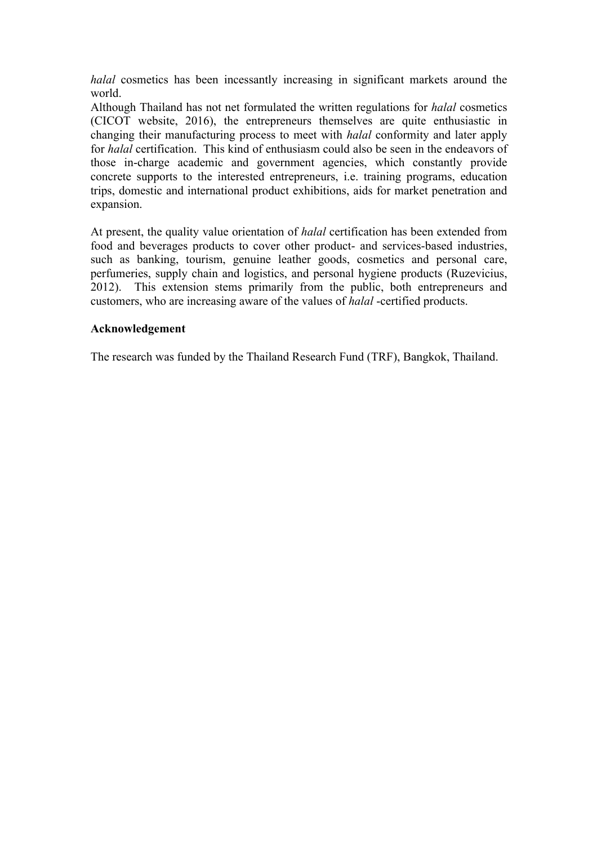*halal* cosmetics has been incessantly increasing in significant markets around the world.

Although Thailand has not net formulated the written regulations for *halal* cosmetics (CICOT website, 2016), the entrepreneurs themselves are quite enthusiastic in changing their manufacturing process to meet with *halal* conformity and later apply for *halal* certification. This kind of enthusiasm could also be seen in the endeavors of those in-charge academic and government agencies, which constantly provide concrete supports to the interested entrepreneurs, i.e. training programs, education trips, domestic and international product exhibitions, aids for market penetration and expansion.

At present, the quality value orientation of *halal* certification has been extended from food and beverages products to cover other product- and services-based industries, such as banking, tourism, genuine leather goods, cosmetics and personal care, perfumeries, supply chain and logistics, and personal hygiene products (Ruzevicius, 2012). This extension stems primarily from the public, both entrepreneurs and customers, who are increasing aware of the values of *halal* -certified products.

## **Acknowledgement**

The research was funded by the Thailand Research Fund (TRF), Bangkok, Thailand.